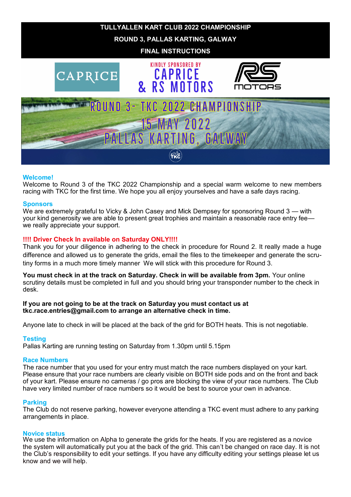

# **Welcome!**

Welcome to Round 3 of the TKC 2022 Championship and a special warm welcome to new members racing with TKC for the first time. We hope you all enjoy yourselves and have a safe days racing.

#### **Sponsors**

We are extremely grateful to Vicky & John Casey and Mick Dempsey for sponsoring Round 3 — with your kind generosity we are able to present great trophies and maintain a reasonable race entry fee we really appreciate your support.

# **!!!! Driver Check In available on Saturday ONLY!!!!**

Thank you for your diligence in adhering to the check in procedure for Round 2. It really made a huge difference and allowed us to generate the grids, email the files to the timekeeper and generate the scrutiny forms in a much more timely manner We will stick with this procedure for Round 3.

**You must check in at the track on Saturday. Check in will be available from 3pm.** Your online scrutiny details must be completed in full and you should bring your transponder number to the check in desk.

#### **If you are not going to be at the track on Saturday you must contact us at tkc.race.entries@gmail.com to arrange an alternative check in time.**

Anyone late to check in will be placed at the back of the grid for BOTH heats. This is not negotiable.

### **Testing**

Pallas Karting are running testing on Saturday from 1.30pm until 5.15pm

#### **Race Numbers**

The race number that you used for your entry must match the race numbers displayed on your kart. Please ensure that your race numbers are clearly visible on BOTH side pods and on the front and back of your kart. Please ensure no cameras / go pros are blocking the view of your race numbers. The Club have very limited number of race numbers so it would be best to source your own in advance.

### **Parking**

The Club do not reserve parking, however everyone attending a TKC event must adhere to any parking arrangements in place.

#### **Novice status**

We use the information on Alpha to generate the grids for the heats. If you are registered as a novice the system will automatically put you at the back of the grid. This can't be changed on race day. It is not the Club's responsibility to edit your settings. If you have any difficulty editing your settings please let us know and we will help.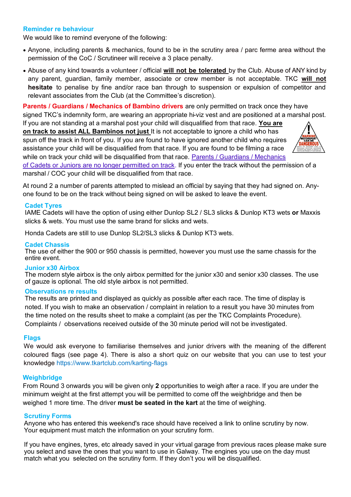# **Reminder re behaviour**

We would like to remind everyone of the following:

- Anyone, including parents & mechanics, found to be in the scrutiny area / parc ferme area without the permission of the CoC / Scrutineer will receive a 3 place penalty.
- Abuse of any kind towards a volunteer / official **will not be tolerated** by the Club. Abuse of ANY kind by any parent, guardian, family member, associate or crew member is not acceptable. TKC **will not hesitate** to penalise by fine and/or race ban through to suspension or expulsion of competitor and relevant associates from the Club (at the Committee's discretion).

**Parents / Guardians / Mechanics of Bambino drivers** are only permitted on track once they have signed TKC's indemnity form, are wearing an appropriate hi-viz vest and are positioned at a marshal post.

If you are not standing at a marshal post your child will disqualified from that race. **You are on track to assist ALL Bambinos not just** It is not acceptable to ignore a child who has spun off the track in front of you. If you are found to have ignored another child who requires assistance your child will be disqualified from that race. If you are found to be filming a race while on track your child will be disqualified from that race. Parents / Guardians / Mechanics



of Cadets or Juniors are no longer permitted on track. If you enter the track without the permission of a marshal / COC your child will be disqualified from that race.

At round 2 a number of parents attempted to mislead an official by saying that they had signed on. Anyone found to be on the track without being signed on will be asked to leave the event.

#### **Cadet Tyres**

IAME Cadets will have the option of using either Dunlop SL2 / SL3 slicks & Dunlop KT3 wets **or** Maxxis slicks & wets. You must use the same brand for slicks and wets.

Honda Cadets are still to use Dunlop SL2/SL3 slicks & Dunlop KT3 wets.

#### **Cadet Chassis**

The use of either the 900 or 950 chassis is permitted, however you must use the same chassis for the entire event.

#### **Junior x30 Airbox**

The modern style airbox is the only airbox permitted for the junior x30 and senior x30 classes. The use of gauze is optional. The old style airbox is not permitted.

#### **Observations re results**

The results are printed and displayed as quickly as possible after each race. The time of display is noted. If you wish to make an observation / complaint in relation to a result you have 30 minutes from the time noted on the results sheet to make a complaint (as per the TKC Complaints Procedure). Complaints / observations received outside of the 30 minute period will not be investigated.

#### **Flags**

We would ask everyone to familiarise themselves and junior drivers with the meaning of the different coloured flags (see page 4). There is also a short quiz on our website that you can use to test your knowledge https://www.tkartclub.com/karting-flags

#### **Weighbridge**

From Round 3 onwards you will be given only **2** opportunities to weigh after a race. If you are under the minimum weight at the first attempt you will be permitted to come off the weighbridge and then be weighed 1 more time. The driver **must be seated in the kart** at the time of weighing.

#### **Scrutiny Forms**

Anyone who has entered this weekend's race should have received a link to online scrutiny by now. Your equipment must match the information on your scrutiny form.

If you have engines, tyres, etc already saved in your virtual garage from previous races please make sure you select and save the ones that you want to use in Galway. The engines you use on the day must match what you selected on the scrutiny form. If they don't you will be disqualified.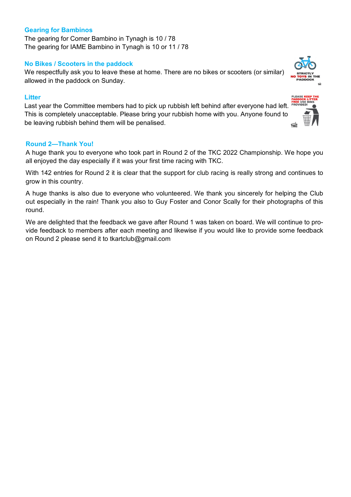# **Gearing for Bambinos**

The gearing for Comer Bambino in Tynagh is 10 / 78 The gearing for IAME Bambino in Tynagh is 10 or 11 / 78

# **No Bikes / Scooters in the paddock**

We respectfully ask you to leave these at home. There are no bikes or scooters (or similar) allowed in the paddock on Sunday.

# **Litter**

Last year the Committee members had to pick up rubbish left behind after everyone had left. This is completely unacceptable. Please bring your rubbish home with you. Anyone found to be leaving rubbish behind them will be penalised.

# **Round 2—Thank You!**

A huge thank you to everyone who took part in Round 2 of the TKC 2022 Championship. We hope you all enjoyed the day especially if it was your first time racing with TKC.

With 142 entries for Round 2 it is clear that the support for club racing is really strong and continues to grow in this country.

A huge thanks is also due to everyone who volunteered. We thank you sincerely for helping the Club out especially in the rain! Thank you also to Guy Foster and Conor Scally for their photographs of this round.

We are delighted that the feedback we gave after Round 1 was taken on board. We will continue to provide feedback to members after each meeting and likewise if you would like to provide some feedback on Round 2 please send it to tkartclub@gmail.com